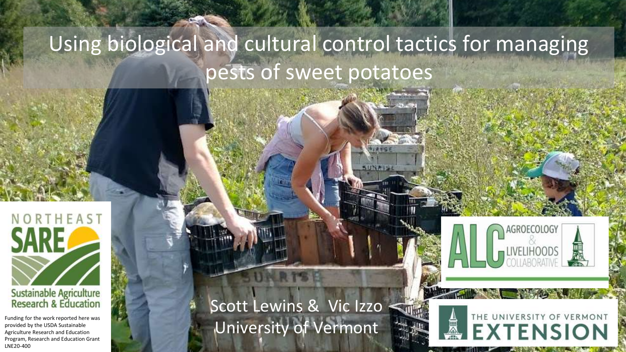# Using biological and cultural control tactics for managing pests of sweet potatoes



Funding for the work reported here was provided by the USDA Sustainable Agriculture Research and Education Program, Research and Education Grant LNE20-400

Scott Lewins & Vic Izzo University of Vermont



THE UNIVERSITY OF VERMONT

**EXTENSION**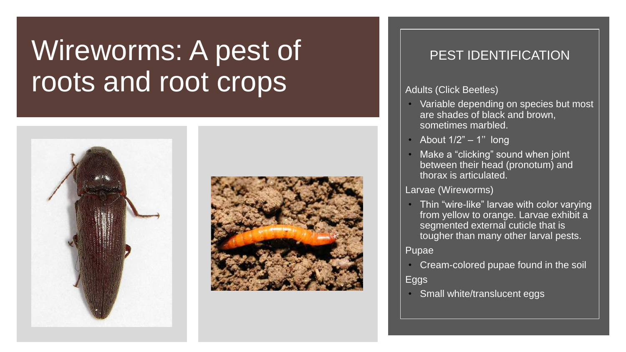# Wireworms: A pest of roots and root crops





## PEST IDENTIFICATION

#### Adults (Click Beetles)

- Variable depending on species but most are shades of black and brown, sometimes marbled.
- About  $1/2" 1"$  long
- Make a "clicking" sound when joint between their head (pronotum) and thorax is articulated.

## Larvae (Wireworms)

• Thin "wire-like" larvae with color varying from yellow to orange. Larvae exhibit a segmented external cuticle that is tougher than many other larval pests.

### Pupae

• Cream-colored pupae found in the soil

## Eggs

**Small white/translucent eggs**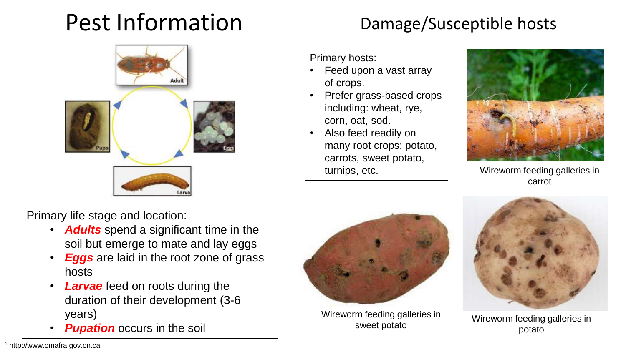## Pest Information Damage/Susceptible hosts



Primary hosts:

- Feed upon a vast array of crops.
- Prefer grass-based crops including: wheat, rye, corn, oat, sod.
- Also feed readily on many root crops: potato, carrots, sweet potato, turnips, etc.



Wireworm feeding galleries in carrot

Primary life stage and location:

- *Adults* spend a significant time in the soil but emerge to mate and lay eggs
- **Eggs** are laid in the root zone of grass hosts
- *Larvae* feed on roots during the duration of their development (3-6 years)
- **Pupation** occurs in the soil



Wireworm feeding galleries in sweet potato



Wireworm feeding galleries in potato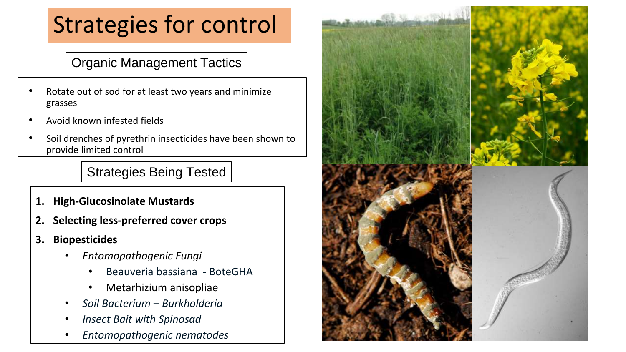# Strategies for control

Organic Management Tactics

- Rotate out of sod for at least two years and minimize grasses
- Avoid known infested fields
- Soil drenches of pyrethrin insecticides have been shown to provide limited control

Strategies Being Tested

- **1. High-Glucosinolate Mustards**
- **2. Selecting less-preferred cover crops**
- **3. Biopesticides**
	- *Entomopathogenic Fungi*
		- Beauveria bassiana BoteGHA
		- Metarhizium anisopliae
	- *Soil Bacterium – Burkholderia*
	- *Insect Bait with Spinosad*
	- *Entomopathogenic nematodes*

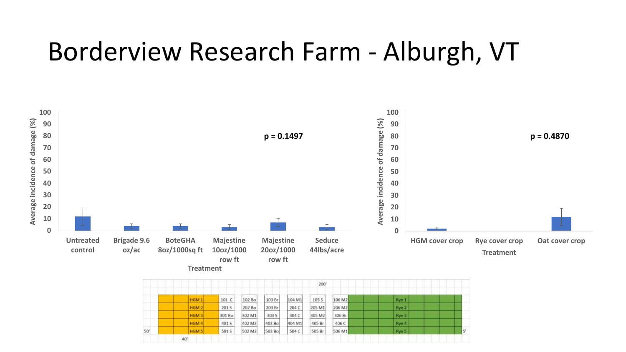# Borderview Research Farm - Alburgh, VT



|     | 200'             |        |        |        |        |        |        |       |                |  |  |
|-----|------------------|--------|--------|--------|--------|--------|--------|-------|----------------|--|--|
|     | HGM <sub>1</sub> | 101 C  | 102 Bo | 103 Br | 104 M1 | 105 S  | 106 M2 | Rye 1 |                |  |  |
|     | HGM 2            | 201 S  | 202 Bo | 203 Br | 204 C  | 205 M1 | 206 M2 | Rye 2 |                |  |  |
|     | HGM3             | 301 Bo | 302 M1 | 303 S  | 304 C  | 305 M2 | 306 Br | Rye 3 |                |  |  |
|     | HGM 4            | 401 S  | 402 M2 | 403 Bo | 404 M1 | 405 Br | 406 C  | Rye 4 |                |  |  |
| 50' | <b>HGM S</b>     | 501 S  | 502 M2 | 503 Bo | 504 C  | 505 Br | 506 M1 | Rye 5 | 2 <sup>2</sup> |  |  |
|     | 40'              |        |        |        |        |        |        |       |                |  |  |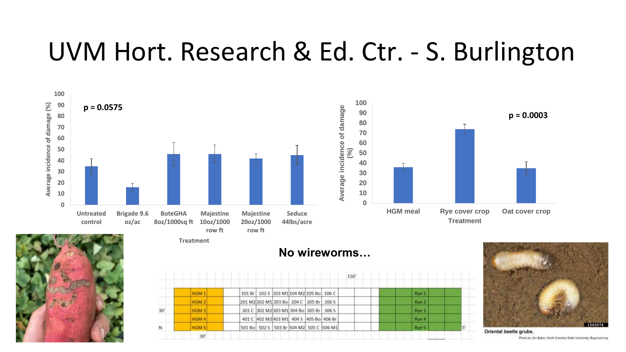# UVM Hort. Research & Ed. Ctr. - S. Burlington





|     |                  | 150' |                                         |  |  |      |  |       |  |  |
|-----|------------------|------|-----------------------------------------|--|--|------|--|-------|--|--|
|     | HGM 1            |      | 101 Br 102 S 103 M1 104 M2 105 Bo 106 C |  |  |      |  | Rye 1 |  |  |
|     | HGM <sub>2</sub> |      | 201 M2 202 M1 203 Bo 204 C 205 Br       |  |  | 2065 |  | Rye 2 |  |  |
| 30' | HGM <sub>3</sub> |      | 301 C 302 M2 303 M1 304 Bo 305 Br 306 S |  |  |      |  | Rye 3 |  |  |
|     | HGM 4            |      | 401 C 402 M2 403 M1 404 S 405 Bo 406 Br |  |  |      |  | Rye 4 |  |  |
| N   | HGM <sub>5</sub> |      | 501 Bo 502 S 503 Br 504 M2 505 C 506 M1 |  |  |      |  | Rye 5 |  |  |
|     | 30'              |      |                                         |  |  |      |  |       |  |  |



Oriental beetle grubs. Photo by Jim Baker, North Carolina State University, Buguood arg

## **No wireworms…**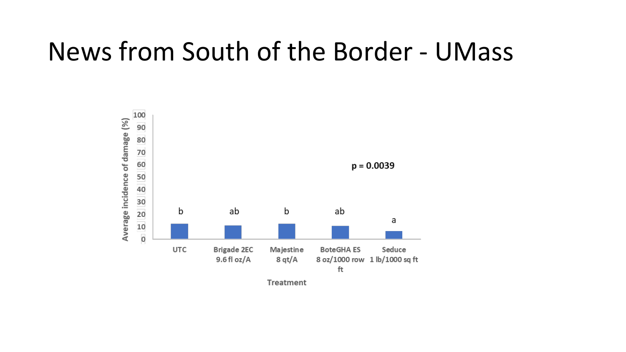# News from South of the Border - UMass